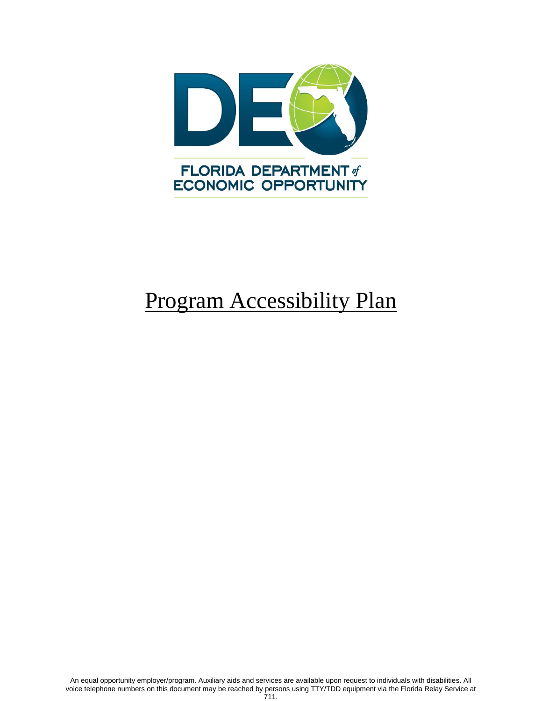

An equal opportunity employer/program. Auxiliary aids and services are available upon request to individuals with disabilities. All voice telephone numbers on this document may be reached by persons using TTY/TDD equipment via the Florida Relay Service at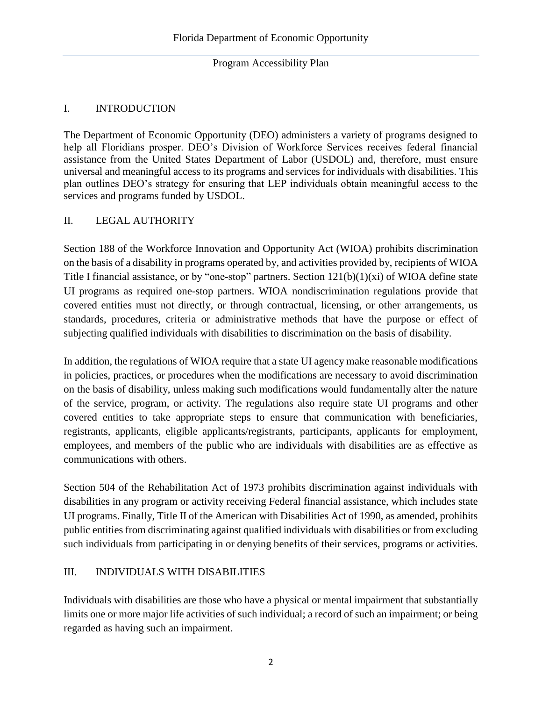#### I. INTRODUCTION

The Department of Economic Opportunity (DEO) administers a variety of programs designed to help all Floridians prosper. DEO's Division of Workforce Services receives federal financial assistance from the United States Department of Labor (USDOL) and, therefore, must ensure universal and meaningful access to its programs and services for individuals with disabilities. This plan outlines DEO's strategy for ensuring that LEP individuals obtain meaningful access to the services and programs funded by USDOL.

#### II. LEGAL AUTHORITY

Section 188 of the Workforce Innovation and Opportunity Act (WIOA) prohibits discrimination on the basis of a disability in programs operated by, and activities provided by, recipients of WIOA Title I financial assistance, or by "one-stop" partners. Section  $121(b)(1)(xi)$  of WIOA define state UI programs as required one-stop partners. WIOA nondiscrimination regulations provide that covered entities must not directly, or through contractual, licensing, or other arrangements, us standards, procedures, criteria or administrative methods that have the purpose or effect of subjecting qualified individuals with disabilities to discrimination on the basis of disability.

In addition, the regulations of WIOA require that a state UI agency make reasonable modifications in policies, practices, or procedures when the modifications are necessary to avoid discrimination on the basis of disability, unless making such modifications would fundamentally alter the nature of the service, program, or activity. The regulations also require state UI programs and other covered entities to take appropriate steps to ensure that communication with beneficiaries, registrants, applicants, eligible applicants/registrants, participants, applicants for employment, employees, and members of the public who are individuals with disabilities are as effective as communications with others.

Section 504 of the Rehabilitation Act of 1973 prohibits discrimination against individuals with disabilities in any program or activity receiving Federal financial assistance, which includes state UI programs. Finally, Title II of the American with Disabilities Act of 1990, as amended, prohibits public entities from discriminating against qualified individuals with disabilities or from excluding such individuals from participating in or denying benefits of their services, programs or activities.

### III. INDIVIDUALS WITH DISABILITIES

Individuals with disabilities are those who have a physical or mental impairment that substantially limits one or more major life activities of such individual; a record of such an impairment; or being regarded as having such an impairment.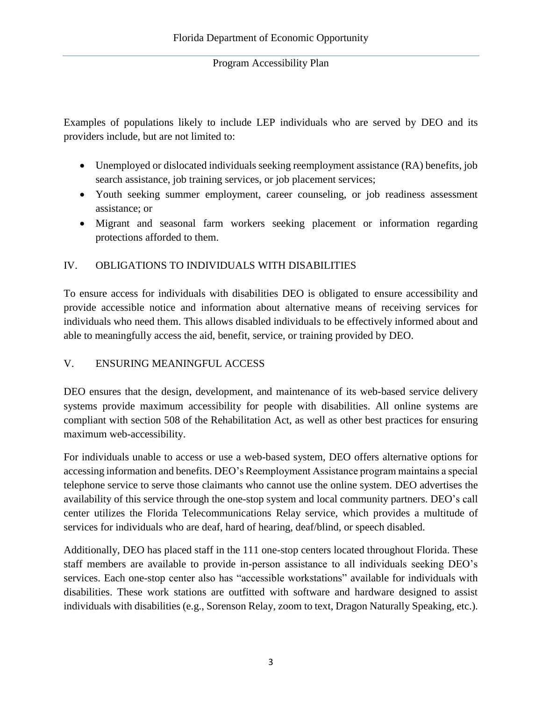Examples of populations likely to include LEP individuals who are served by DEO and its providers include, but are not limited to:

- Unemployed or dislocated individuals seeking reemployment assistance (RA) benefits, job search assistance, job training services, or job placement services;
- Youth seeking summer employment, career counseling, or job readiness assessment assistance; or
- Migrant and seasonal farm workers seeking placement or information regarding protections afforded to them.

## IV. OBLIGATIONS TO INDIVIDUALS WITH DISABILITIES

To ensure access for individuals with disabilities DEO is obligated to ensure accessibility and provide accessible notice and information about alternative means of receiving services for individuals who need them. This allows disabled individuals to be effectively informed about and able to meaningfully access the aid, benefit, service, or training provided by DEO.

### V. ENSURING MEANINGFUL ACCESS

DEO ensures that the design, development, and maintenance of its web-based service delivery systems provide maximum accessibility for people with disabilities. All online systems are compliant with section 508 of the Rehabilitation Act, as well as other best practices for ensuring maximum web-accessibility.

For individuals unable to access or use a web-based system, DEO offers alternative options for accessing information and benefits. DEO's Reemployment Assistance program maintains a special telephone service to serve those claimants who cannot use the online system. DEO advertises the availability of this service through the one-stop system and local community partners. DEO's call center utilizes the Florida Telecommunications Relay service, which provides a multitude of services for individuals who are deaf, hard of hearing, deaf/blind, or speech disabled.

Additionally, DEO has placed staff in the 111 one-stop centers located throughout Florida. These staff members are available to provide in-person assistance to all individuals seeking DEO's services. Each one-stop center also has "accessible workstations" available for individuals with disabilities. These work stations are outfitted with software and hardware designed to assist individuals with disabilities (e.g., Sorenson Relay, zoom to text, Dragon Naturally Speaking, etc.).